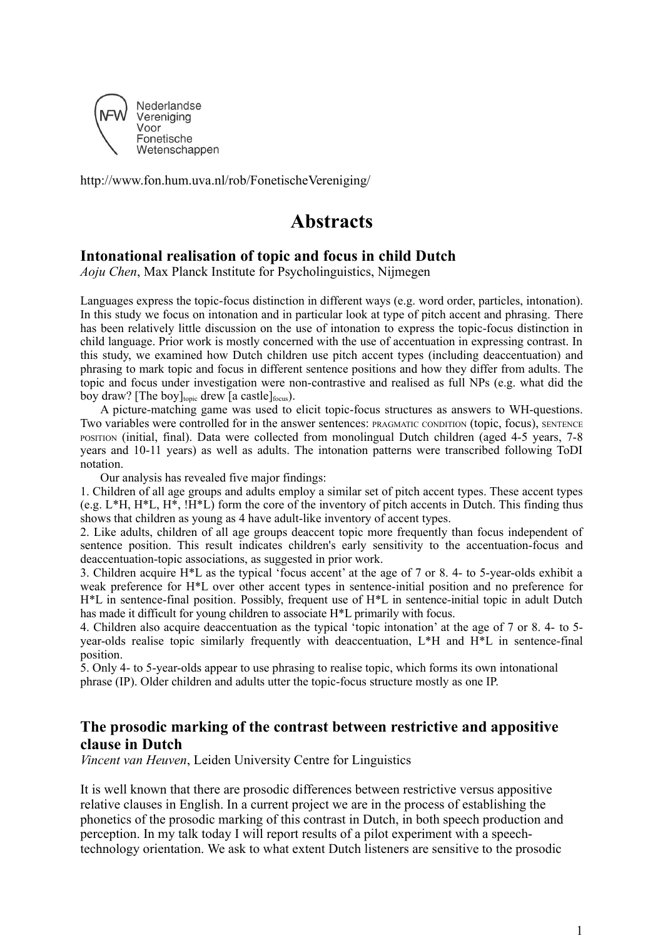

http://www.fon.hum.uva.nl/rob/FonetischeVereniging/

# **Abstracts**

#### **Intonational realisation of topic and focus in child Dutch**

*Aoju Chen*, Max Planck Institute for Psycholinguistics, Nijmegen

Languages express the topic-focus distinction in different ways (e.g. word order, particles, intonation). In this study we focus on intonation and in particular look at type of pitch accent and phrasing. There has been relatively little discussion on the use of intonation to express the topic-focus distinction in child language. Prior work is mostly concerned with the use of accentuation in expressing contrast. In this study, we examined how Dutch children use pitch accent types (including deaccentuation) and phrasing to mark topic and focus in different sentence positions and how they differ from adults. The topic and focus under investigation were non-contrastive and realised as full NPs (e.g. what did the boy draw? [The boy] $_{\text{topic}}$  drew [a castle] $_{\text{focus}}$ ).

A picture-matching game was used to elicit topic-focus structures as answers to WH-questions. Two variables were controlled for in the answer sentences: PRAGMATIC CONDITION (topic, focus), SENTENCE POSITION (initial, final). Data were collected from monolingual Dutch children (aged 4-5 years, 7-8 years and 10-11 years) as well as adults. The intonation patterns were transcribed following ToDI notation.

Our analysis has revealed five major findings:

1. Children of all age groups and adults employ a similar set of pitch accent types. These accent types (e.g. L\*H,  $H^*L$ ,  $H^*$ ,  $HH^*L$ ) form the core of the inventory of pitch accents in Dutch. This finding thus shows that children as young as 4 have adult-like inventory of accent types.

2. Like adults, children of all age groups deaccent topic more frequently than focus independent of sentence position. This result indicates children's early sensitivity to the accentuation-focus and deaccentuation-topic associations, as suggested in prior work.

3. Children acquire H\*L as the typical 'focus accent' at the age of 7 or 8. 4- to 5-year-olds exhibit a weak preference for H\*L over other accent types in sentence-initial position and no preference for H\*L in sentence-final position. Possibly, frequent use of H\*L in sentence-initial topic in adult Dutch has made it difficult for young children to associate H\*L primarily with focus.

4. Children also acquire deaccentuation as the typical 'topic intonation' at the age of 7 or 8. 4- to 5 year-olds realise topic similarly frequently with deaccentuation, L\*H and H\*L in sentence-final position.

5. Only 4- to 5-year-olds appear to use phrasing to realise topic, which forms its own intonational phrase (IP). Older children and adults utter the topic-focus structure mostly as one IP.

### **The prosodic marking of the contrast between restrictive and appositive clause in Dutch**

*Vincent van Heuven*, Leiden University Centre for Linguistics

It is well known that there are prosodic differences between restrictive versus appositive relative clauses in English. In a current project we are in the process of establishing the phonetics of the prosodic marking of this contrast in Dutch, in both speech production and perception. In my talk today I will report results of a pilot experiment with a speechtechnology orientation. We ask to what extent Dutch listeners are sensitive to the prosodic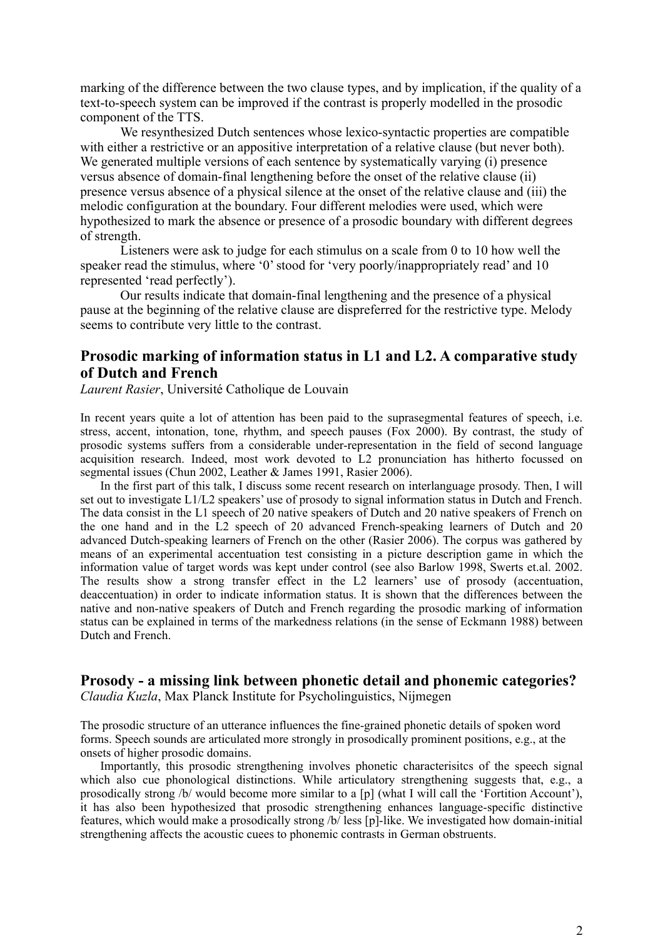marking of the difference between the two clause types, and by implication, if the quality of a text-to-speech system can be improved if the contrast is properly modelled in the prosodic component of the TTS.

We resynthesized Dutch sentences whose lexico-syntactic properties are compatible with either a restrictive or an appositive interpretation of a relative clause (but never both). We generated multiple versions of each sentence by systematically varying (i) presence versus absence of domain-final lengthening before the onset of the relative clause (ii) presence versus absence of a physical silence at the onset of the relative clause and (iii) the melodic configuration at the boundary. Four different melodies were used, which were hypothesized to mark the absence or presence of a prosodic boundary with different degrees of strength.

Listeners were ask to judge for each stimulus on a scale from 0 to 10 how well the speaker read the stimulus, where '0' stood for 'very poorly/inappropriately read' and 10 represented 'read perfectly').

Our results indicate that domain-final lengthening and the presence of a physical pause at the beginning of the relative clause are dispreferred for the restrictive type. Melody seems to contribute very little to the contrast.

#### **Prosodic marking of information status in L1 and L2. A comparative study of Dutch and French**

*Laurent Rasier*, Université Catholique de Louvain

In recent years quite a lot of attention has been paid to the suprasegmental features of speech, i.e. stress, accent, intonation, tone, rhythm, and speech pauses (Fox 2000). By contrast, the study of prosodic systems suffers from a considerable under-representation in the field of second language acquisition research. Indeed, most work devoted to L2 pronunciation has hitherto focussed on segmental issues (Chun 2002, Leather & James 1991, Rasier 2006).

In the first part of this talk, I discuss some recent research on interlanguage prosody. Then, I will set out to investigate L1/L2 speakers' use of prosody to signal information status in Dutch and French. The data consist in the L1 speech of 20 native speakers of Dutch and 20 native speakers of French on the one hand and in the L2 speech of 20 advanced French-speaking learners of Dutch and 20 advanced Dutch-speaking learners of French on the other (Rasier 2006). The corpus was gathered by means of an experimental accentuation test consisting in a picture description game in which the information value of target words was kept under control (see also Barlow 1998, Swerts et.al. 2002. The results show a strong transfer effect in the L2 learners' use of prosody (accentuation, deaccentuation) in order to indicate information status. It is shown that the differences between the native and non-native speakers of Dutch and French regarding the prosodic marking of information status can be explained in terms of the markedness relations (in the sense of Eckmann 1988) between Dutch and French.

# **Prosody - a missing link between phonetic detail and phonemic categories?**

*Claudia Kuzla*, Max Planck Institute for Psycholinguistics, Nijmegen

The prosodic structure of an utterance influences the fine-grained phonetic details of spoken word forms. Speech sounds are articulated more strongly in prosodically prominent positions, e.g., at the onsets of higher prosodic domains.

Importantly, this prosodic strengthening involves phonetic characterisitcs of the speech signal which also cue phonological distinctions. While articulatory strengthening suggests that, e.g., a prosodically strong /b/ would become more similar to a [p] (what I will call the 'Fortition Account'), it has also been hypothesized that prosodic strengthening enhances language-specific distinctive features, which would make a prosodically strong /b/ less [p]-like. We investigated how domain-initial strengthening affects the acoustic cuees to phonemic contrasts in German obstruents.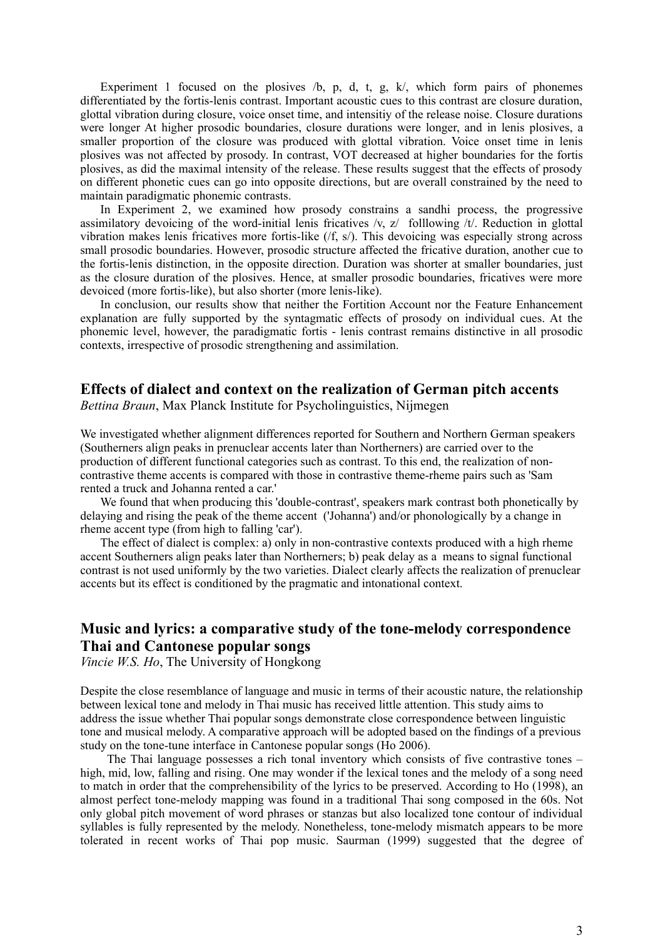Experiment 1 focused on the plosives  $\ell$ , p, d, t, g, k, which form pairs of phonemes differentiated by the fortis-lenis contrast. Important acoustic cues to this contrast are closure duration, glottal vibration during closure, voice onset time, and intensitiy of the release noise. Closure durations were longer At higher prosodic boundaries, closure durations were longer, and in lenis plosives, a smaller proportion of the closure was produced with glottal vibration. Voice onset time in lenis plosives was not affected by prosody. In contrast, VOT decreased at higher boundaries for the fortis plosives, as did the maximal intensity of the release. These results suggest that the effects of prosody on different phonetic cues can go into opposite directions, but are overall constrained by the need to maintain paradigmatic phonemic contrasts.

In Experiment 2, we examined how prosody constrains a sandhi process, the progressive assimilatory devoicing of the word-initial lenis fricatives /v, z/ folllowing /t/. Reduction in glottal vibration makes lenis fricatives more fortis-like (/f, s/). This devoicing was especially strong across small prosodic boundaries. However, prosodic structure affected the fricative duration, another cue to the fortis-lenis distinction, in the opposite direction. Duration was shorter at smaller boundaries, just as the closure duration of the plosives. Hence, at smaller prosodic boundaries, fricatives were more devoiced (more fortis-like), but also shorter (more lenis-like).

In conclusion, our results show that neither the Fortition Account nor the Feature Enhancement explanation are fully supported by the syntagmatic effects of prosody on individual cues. At the phonemic level, however, the paradigmatic fortis - lenis contrast remains distinctive in all prosodic contexts, irrespective of prosodic strengthening and assimilation.

## **Effects of dialect and context on the realization of German pitch accents**

*Bettina Braun*, Max Planck Institute for Psycholinguistics, Nijmegen

We investigated whether alignment differences reported for Southern and Northern German speakers (Southerners align peaks in prenuclear accents later than Northerners) are carried over to the production of different functional categories such as contrast. To this end, the realization of noncontrastive theme accents is compared with those in contrastive theme-rheme pairs such as 'Sam rented a truck and Johanna rented a car.'

We found that when producing this 'double-contrast', speakers mark contrast both phonetically by delaying and rising the peak of the theme accent ('Johanna') and/or phonologically by a change in rheme accent type (from high to falling 'car').

The effect of dialect is complex: a) only in non-contrastive contexts produced with a high rheme accent Southerners align peaks later than Northerners; b) peak delay as a means to signal functional contrast is not used uniformly by the two varieties. Dialect clearly affects the realization of prenuclear accents but its effect is conditioned by the pragmatic and intonational context.

## **Music and lyrics: a comparative study of the tone-melody correspondence Thai and Cantonese popular songs**

*Vincie W.S. Ho*, The University of Hongkong

Despite the close resemblance of language and music in terms of their acoustic nature, the relationship between lexical tone and melody in Thai music has received little attention. This study aims to address the issue whether Thai popular songs demonstrate close correspondence between linguistic tone and musical melody. A comparative approach will be adopted based on the findings of a previous study on the tone-tune interface in Cantonese popular songs (Ho 2006).

The Thai language possesses a rich tonal inventory which consists of five contrastive tones – high, mid, low, falling and rising. One may wonder if the lexical tones and the melody of a song need to match in order that the comprehensibility of the lyrics to be preserved. According to Ho (1998), an almost perfect tone-melody mapping was found in a traditional Thai song composed in the 60s. Not only global pitch movement of word phrases or stanzas but also localized tone contour of individual syllables is fully represented by the melody. Nonetheless, tone-melody mismatch appears to be more tolerated in recent works of Thai pop music. Saurman (1999) suggested that the degree of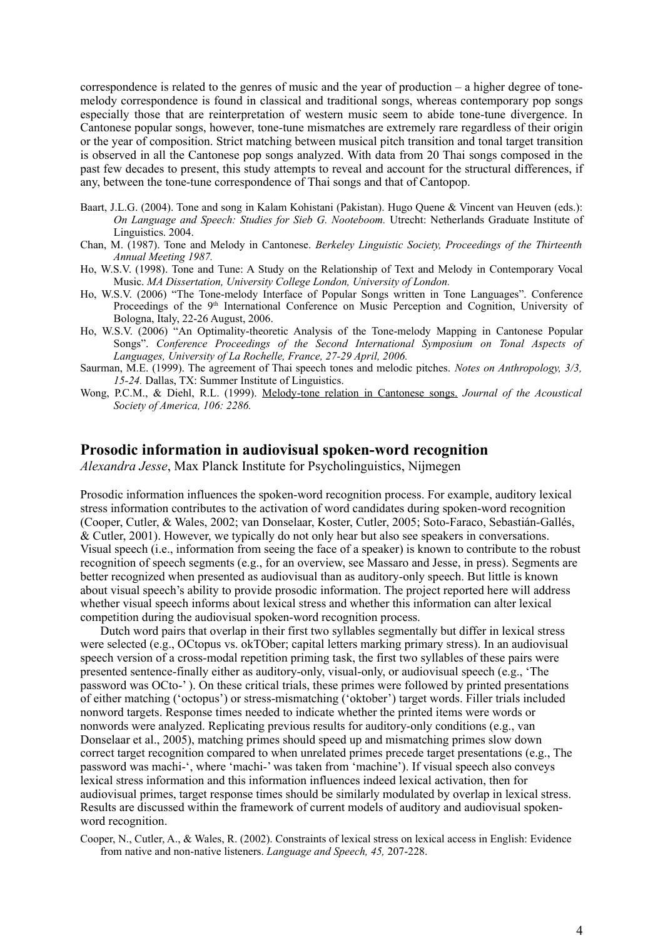correspondence is related to the genres of music and the year of production – a higher degree of tonemelody correspondence is found in classical and traditional songs, whereas contemporary pop songs especially those that are reinterpretation of western music seem to abide tone-tune divergence. In Cantonese popular songs, however, tone-tune mismatches are extremely rare regardless of their origin or the year of composition. Strict matching between musical pitch transition and tonal target transition is observed in all the Cantonese pop songs analyzed. With data from 20 Thai songs composed in the past few decades to present, this study attempts to reveal and account for the structural differences, if any, between the tone-tune correspondence of Thai songs and that of Cantopop.

- Baart, J.L.G. (2004). Tone and song in Kalam Kohistani (Pakistan). Hugo Quene & Vincent van Heuven (eds.): *On Language and Speech: Studies for Sieb G. Nooteboom.* Utrecht: Netherlands Graduate Institute of Linguistics. 2004.
- Chan, M. (1987). Tone and Melody in Cantonese. *Berkeley Linguistic Society, Proceedings of the Thirteenth Annual Meeting 1987.*
- Ho, W.S.V. (1998). Tone and Tune: A Study on the Relationship of Text and Melody in Contemporary Vocal Music. *MA Dissertation, University College London, University of London.*
- Ho, W.S.V. (2006) "The Tone-melody Interface of Popular Songs written in Tone Languages". Conference Proceedings of the 9<sup>th</sup> International Conference on Music Perception and Cognition, University of Bologna, Italy, 22-26 August, 2006.
- Ho, W.S.V. (2006) "An Optimality-theoretic Analysis of the Tone-melody Mapping in Cantonese Popular Songs". *Conference Proceedings of the Second International Symposium on Tonal Aspects of Languages, University of La Rochelle, France, 27-29 April, 2006.*
- Saurman, M.E. (1999). The agreement of Thai speech tones and melodic pitches. *Notes on Anthropology, 3/3, 15-24.* Dallas, TX: Summer Institute of Linguistics.
- Wong, P.C.M., & Diehl, R.L. (1999). [Melody-tone](http://pubweb.northwestern.edu/~pwo733/melody.htm) relation in Cantonese songs. *Journal of the Acoustical Society of America, 106: 2286.*

#### **Prosodic information in audiovisual spoken-word recognition**

*Alexandra Jesse*, Max Planck Institute for Psycholinguistics, Nijmegen

Prosodic information influences the spoken-word recognition process. For example, auditory lexical stress information contributes to the activation of word candidates during spoken-word recognition (Cooper, Cutler, & Wales, 2002; van Donselaar, Koster, Cutler, 2005; Soto-Faraco, Sebastián-Gallés, & Cutler, 2001). However, we typically do not only hear but also see speakers in conversations. Visual speech (i.e., information from seeing the face of a speaker) is known to contribute to the robust recognition of speech segments (e.g., for an overview, see Massaro and Jesse, in press). Segments are better recognized when presented as audiovisual than as auditory-only speech. But little is known about visual speech's ability to provide prosodic information. The project reported here will address whether visual speech informs about lexical stress and whether this information can alter lexical competition during the audiovisual spoken-word recognition process.

Dutch word pairs that overlap in their first two syllables segmentally but differ in lexical stress were selected (e.g., OCtopus vs. okTOber; capital letters marking primary stress). In an audiovisual speech version of a cross-modal repetition priming task, the first two syllables of these pairs were presented sentence-finally either as auditory-only, visual-only, or audiovisual speech (e.g., 'The password was OCto-' ). On these critical trials, these primes were followed by printed presentations of either matching ('octopus') or stress-mismatching ('oktober') target words. Filler trials included nonword targets. Response times needed to indicate whether the printed items were words or nonwords were analyzed. Replicating previous results for auditory-only conditions (e.g., van Donselaar et al., 2005), matching primes should speed up and mismatching primes slow down correct target recognition compared to when unrelated primes precede target presentations (e.g., The password was machi-', where 'machi-' was taken from 'machine'). If visual speech also conveys lexical stress information and this information influences indeed lexical activation, then for audiovisual primes, target response times should be similarly modulated by overlap in lexical stress. Results are discussed within the framework of current models of auditory and audiovisual spokenword recognition.

Cooper, N., Cutler, A., & Wales, R. (2002). Constraints of lexical stress on lexical access in English: Evidence from native and non-native listeners. *Language and Speech, 45,* 207-228.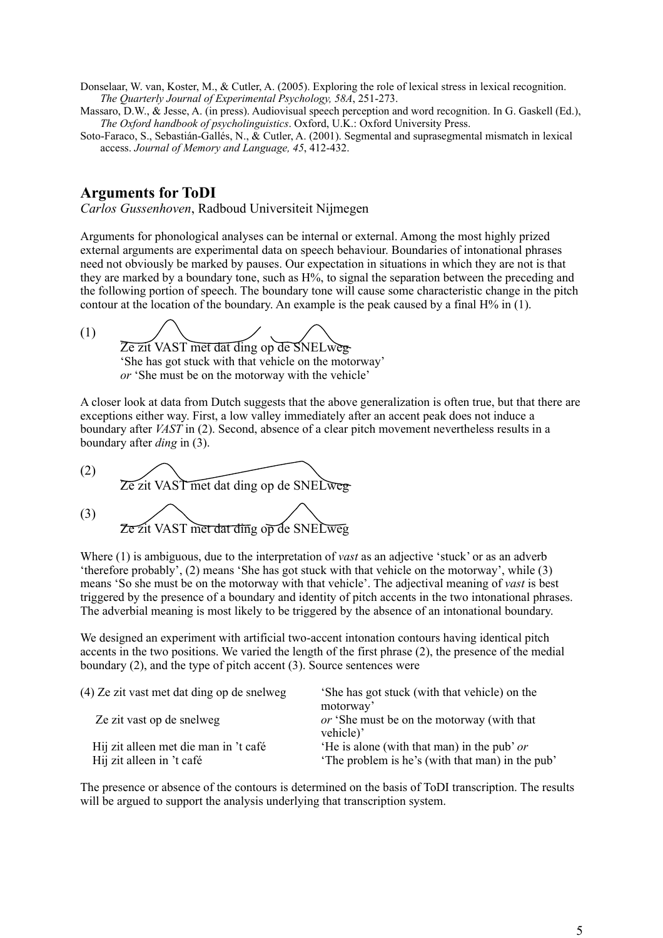Donselaar, W. van, Koster, M., & Cutler, A. (2005). Exploring the role of lexical stress in lexical recognition. *The Quarterly Journal of Experimental Psychology, 58A*, 251-273.

Massaro, D.W., & Jesse, A. (in press). Audiovisual speech perception and word recognition. In G. Gaskell (Ed.), *The Oxford handbook of psycholinguistics*. Oxford, U.K.: Oxford University Press.

Soto-Faraco, S., Sebastián-Gallés, N., & Cutler, A. (2001). Segmental and suprasegmental mismatch in lexical access. *Journal of Memory and Language, 45*, 412-432.

## **Arguments for ToDI**

*Carlos Gussenhoven*, Radboud Universiteit Nijmegen

Arguments for phonological analyses can be internal or external. Among the most highly prized external arguments are experimental data on speech behaviour. Boundaries of intonational phrases need not obviously be marked by pauses. Our expectation in situations in which they are not is that they are marked by a boundary tone, such as H%, to signal the separation between the preceding and the following portion of speech. The boundary tone will cause some characteristic change in the pitch contour at the location of the boundary. An example is the peak caused by a final  $H\%$  in (1).

(1) Ze zit VAST met dat ding op de SNELweg-'She has got stuck with that vehicle on the motorway' *or* 'She must be on the motorway with the vehicle'

A closer look at data from Dutch suggests that the above generalization is often true, but that there are exceptions either way. First, a low valley immediately after an accent peak does not induce a boundary after *VAST* in (2). Second, absence of a clear pitch movement nevertheless results in a boundary after *ding* in (3).

(2) Ze zit VAST met dat ding op de SNELweg (3) Ze zit VAST met dat ding op de SNELweg

Where (1) is ambiguous, due to the interpretation of *vast* as an adjective 'stuck' or as an adverb 'therefore probably', (2) means 'She has got stuck with that vehicle on the motorway', while (3) means 'So she must be on the motorway with that vehicle'. The adjectival meaning of *vast* is best triggered by the presence of a boundary and identity of pitch accents in the two intonational phrases. The adverbial meaning is most likely to be triggered by the absence of an intonational boundary.

We designed an experiment with artificial two-accent intonation contours having identical pitch accents in the two positions. We varied the length of the first phrase (2), the presence of the medial boundary (2), and the type of pitch accent (3). Source sentences were

| (4) Ze zit vast met dat ding op de snelweg                         | She has got stuck (with that vehicle) on the<br>motorway'                                       |
|--------------------------------------------------------------------|-------------------------------------------------------------------------------------------------|
| Ze zit vast op de snelweg                                          | or 'She must be on the motorway (with that<br>vehicle)'                                         |
| Hij zit alleen met die man in 't café<br>Hij zit alleen in 't café | 'He is alone (with that man) in the pub' or<br>'The problem is he's (with that man) in the pub' |

The presence or absence of the contours is determined on the basis of ToDI transcription. The results will be argued to support the analysis underlying that transcription system.